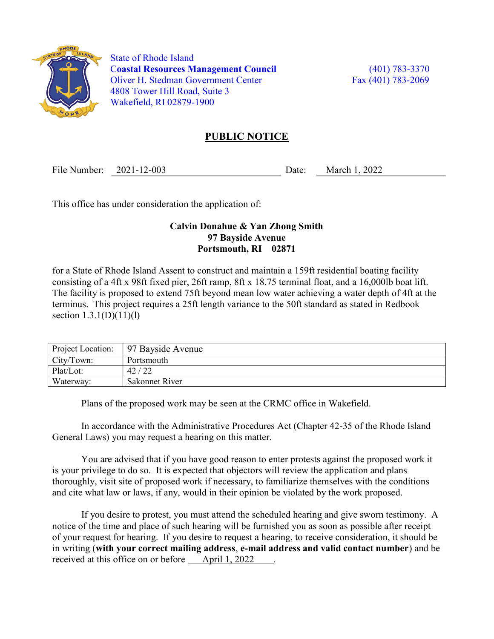

 State of Rhode Island Coastal Resources Management Council (401) 783-3370 Oliver H. Stedman Government Center Fax (401) 783-2069 4808 Tower Hill Road, Suite 3 Wakefield, RI 02879-1900

## PUBLIC NOTICE

File Number: 2021-12-003 Date: March 1, 2022

This office has under consideration the application of:

## Calvin Donahue & Yan Zhong Smith 97 Bayside Avenue Portsmouth, RI 02871

for a State of Rhode Island Assent to construct and maintain a 159ft residential boating facility consisting of a 4ft x 98ft fixed pier, 26ft ramp, 8ft x 18.75 terminal float, and a 16,000lb boat lift. The facility is proposed to extend 75ft beyond mean low water achieving a water depth of 4ft at the terminus. This project requires a 25ft length variance to the 50ft standard as stated in Redbook section 1.3.1(D)(11)(1)

| Project Location: | 97 Bayside Avenue |
|-------------------|-------------------|
| City/Town:        | Portsmouth        |
| Plat/Lot:         | 42/22             |
| Waterway:         | Sakonnet River    |

Plans of the proposed work may be seen at the CRMC office in Wakefield.

In accordance with the Administrative Procedures Act (Chapter 42-35 of the Rhode Island General Laws) you may request a hearing on this matter.

You are advised that if you have good reason to enter protests against the proposed work it is your privilege to do so. It is expected that objectors will review the application and plans thoroughly, visit site of proposed work if necessary, to familiarize themselves with the conditions and cite what law or laws, if any, would in their opinion be violated by the work proposed.

If you desire to protest, you must attend the scheduled hearing and give sworn testimony. A notice of the time and place of such hearing will be furnished you as soon as possible after receipt of your request for hearing. If you desire to request a hearing, to receive consideration, it should be in writing (with your correct mailing address, e-mail address and valid contact number) and be received at this office on or before April 1, 2022